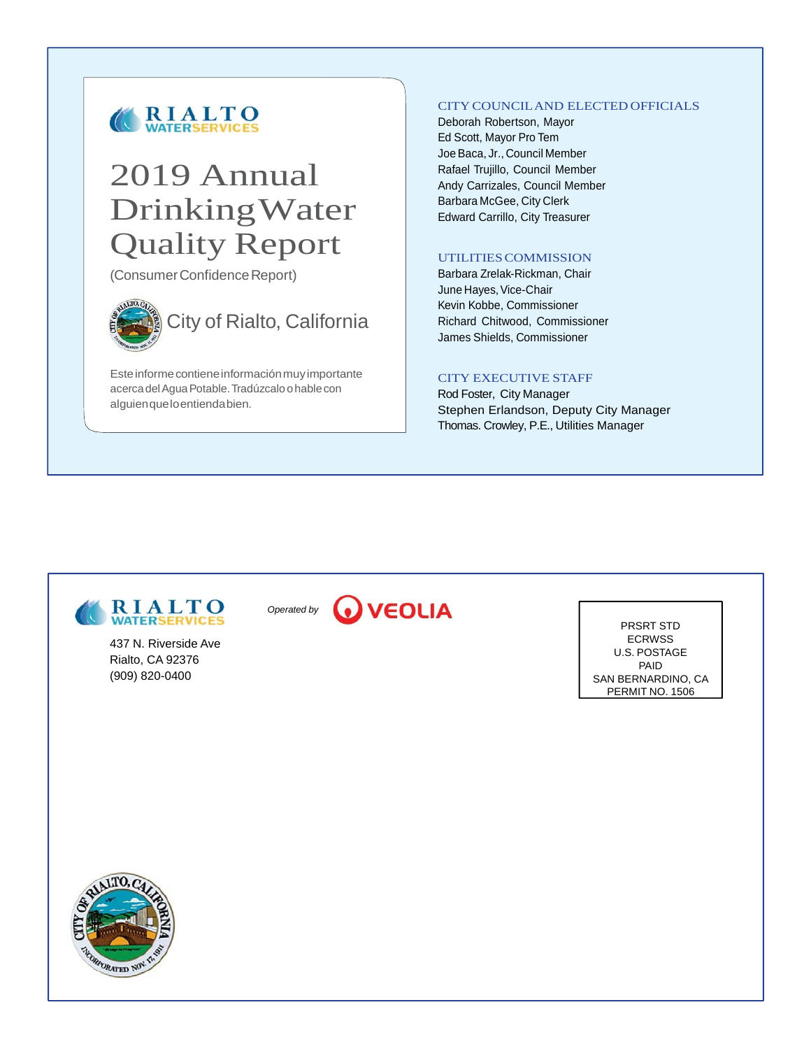

# 2019 Annual Drinking Water Quality Report

(Consumer Confidence Report)



Este informe contiene información muy importante acerca del Agua Potable. Tradúzcalo o hable con alguien que lo entienda bien.

#### CITY COUNCIL AND ELECTED OFFICIALS

Deborah Robertson, Mayor Ed Scott, Mayor Pro Tem Joe Baca, Jr., Council Member Rafael Trujillo, Council Member Andy Carrizales, Council Member Barbara McGee, City Clerk Edward Carrillo, City Treasurer

#### UTILITIES COMMISSION

Barbara Zrelak-Rickman, Chair June Hayes, Vice-Chair Kevin Kobbe, Commissioner Richard Chitwood, Commissioner James Shields, Commissioner

### CITY EXECUTIVE STAFF

Rod Foster, City Manager Stephen Erlandson, Deputy City Manager Thomas. Crowley, P.E., Utilities Manager



437 N. Riverside Ave Rialto, CA 92376 (909) 820-0400



PRSRT STD ECRWSS U.S. POSTAGE PAID SAN BERNARDINO, CA PERMIT NO. 1506

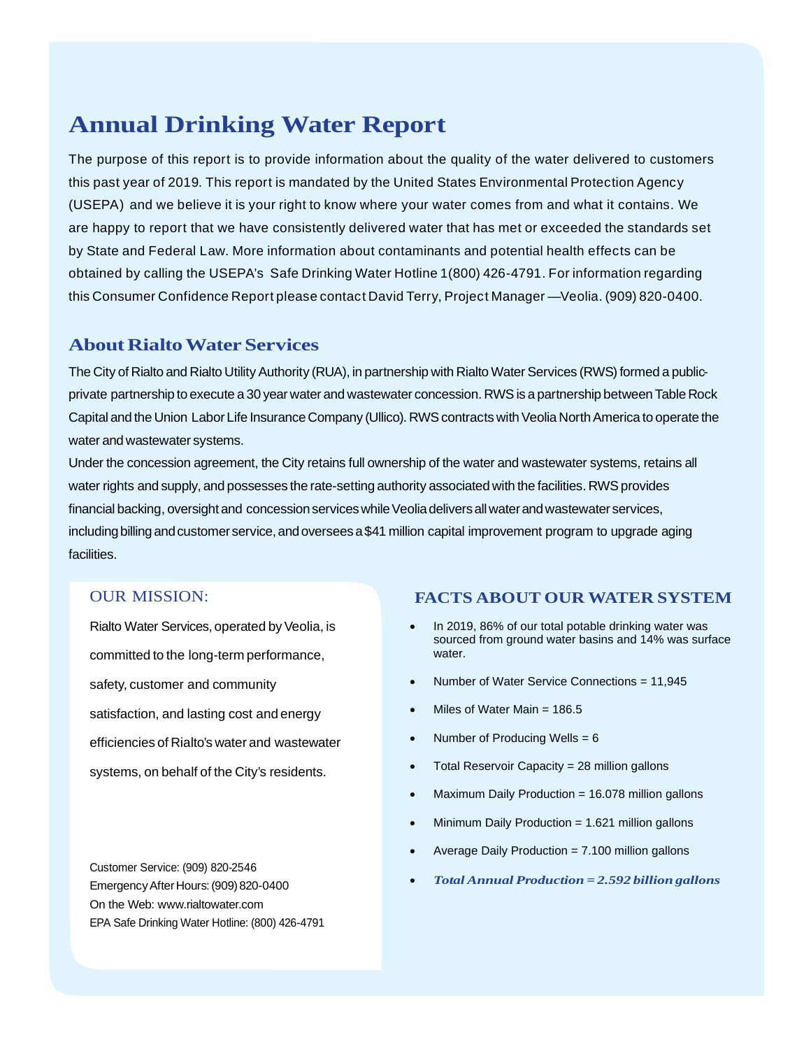## **Annual Drinking Water Report**

The purpose of this report is to provide information about the quality of the water delivered to customers this past year of 2019. This report is mandated by the United States Environmental Protection Agency (USEPA) and we believe it is your right to know where your water comes from and what it contains. We are happy to report that we have consistently delivered water that has met or exceeded the standards set by State and Federal Law. More information about contaminants and potential health effects can be obtained by calling the USEPA's Safe Drinking Water Hotline 1(800) 426-4791. For information regarding this Consumer Confidence Report please contact David Terry, Project Manager —Veolia. (909) 820-0400.

## **About Rialto Water Services**

The City of Rialto and Rialto Utility Authority (RUA), in partnership with Rialto Water Services (RWS) formed a publicprivate partnership to execute a 30 year water and wastewater concession. RWS is a partnership between Table Rock Capital and the Union Labor Life Insurance Company (Ullico). RWS contracts with Veolia North America to operate the water and wastewater systems.

Under the concession agreement, the City retains full ownership of the water and wastewater systems, retains all water rights and supply, and possesses the rate-setting authority associated with the facilities. RWS provides financial backing, oversight and concession services while Veolia delivers all water and wastewater services, including billing and customer service, and oversees a \$41 million capital improvement program to upgrade aging facilities.

## OUR MISSION:

Rialto Water Services, operated by Veolia, is committed to the long-term performance, safety, customer and community satisfaction, and lasting cost and energy efficiencies of Rialto's water and wastewater systems, on behalf of the City's residents.

Customer Service: (909) 820-2546 Emergency After Hours: (909) 820-0400 On the Web: www.rialtowater.com EPA Safe Drinking Water Hotline: (800) 426-4791

## **FACTS ABOUT OUR WATER SYSTEM**

- In 2019, 86% of our total potable drinking water was sourced from ground water basins and 14% was surface water.
- Number of Water Service Connections = 11,945
- Miles of Water Main = 186.5
- Number of Producing Wells = 6
- Total Reservoir Capacity = 28 million gallons
- Maximum Daily Production = 16.078 million gallons
- Minimum Daily Production = 1.621 million gallons
- Average Daily Production = 7.100 million gallons
- *Total Annual Production = 2.592 billion gallons*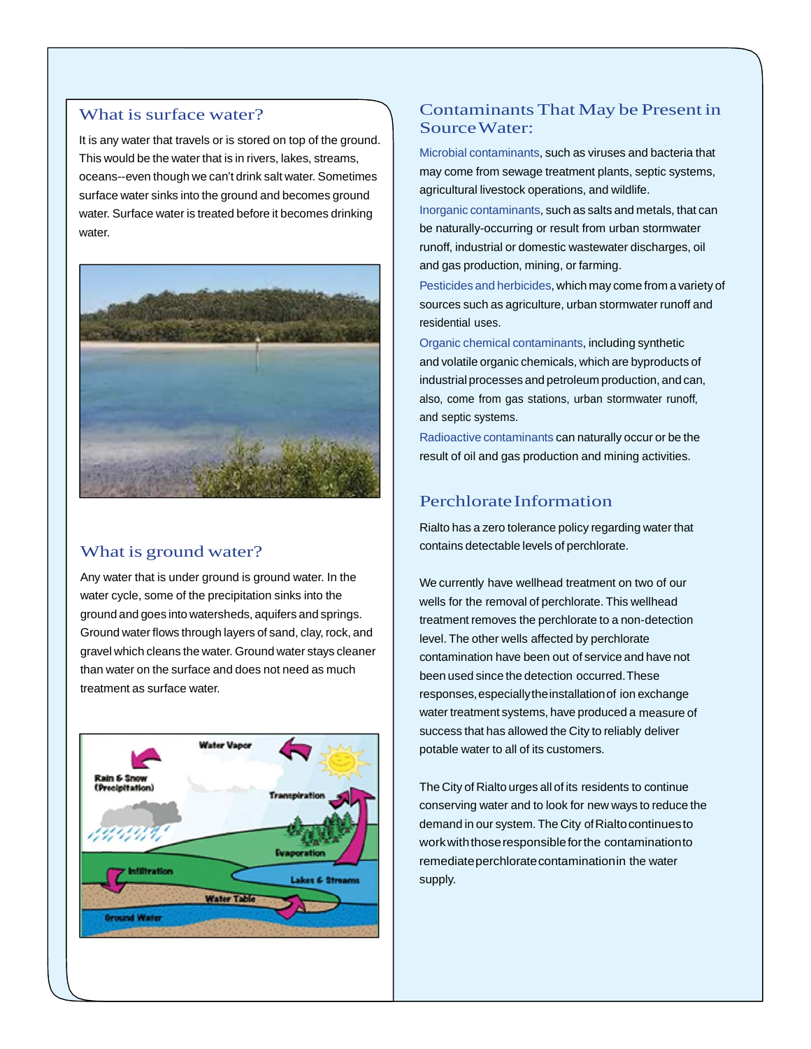### What is surface water?

It is any water that travels or is stored on top of the ground. This would be the water that is in rivers, lakes, streams, oceans--even though we can't drink salt water. Sometimes surface water sinks into the ground and becomes ground water. Surface water is treated before it becomes drinking water.



## What is ground water?

Any water that is under ground is ground water. In the water cycle, some of the precipitation sinks into the ground and goes into watersheds, aquifers and springs. Ground water flows through layers of sand, clay, rock, and gravel which cleans the water. Ground water stays cleaner than water on the surface and does not need as much treatment as surface water.



## Contaminants That May be Present in Source Water:

Microbial contaminants, such as viruses and bacteria that may come from sewage treatment plants, septic systems, agricultural livestock operations, and wildlife.

Inorganic contaminants, such as salts and metals, that can be naturally-occurring or result from urban stormwater runoff, industrial or domestic wastewater discharges, oil and gas production, mining, or farming.

Pesticides and herbicides, which may come from a variety of sources such as agriculture, urban stormwater runoff and residential uses.

Organic chemical contaminants, including synthetic and volatile organic chemicals, which are byproducts of industrial processes and petroleum production, and can, also, come from gas stations, urban stormwater runoff, and septic systems.

Radioactive contaminants can naturally occur or be the result of oil and gas production and mining activities.

## Perchlorate Information

Rialto has a zero tolerance policy regarding water that contains detectable levels of perchlorate.

We currently have wellhead treatment on two of our wells for the removal of perchlorate. This wellhead treatment removes the perchlorate to a non-detection level. The other wells affected by perchlorate contamination have been out of service and have not been used since the detection occurred. These responses, especially the installation of ion exchange water treatment systems, have produced a measure of success that has allowed the City to reliably deliver potable water to all of its customers.

The City of Rialto urges all of its residents to continue conserving water and to look for new ways to reduce the demand in our system. The City of Rialto continues to work with those responsible for the contamination to remediate perchlorate contamination in the water supply.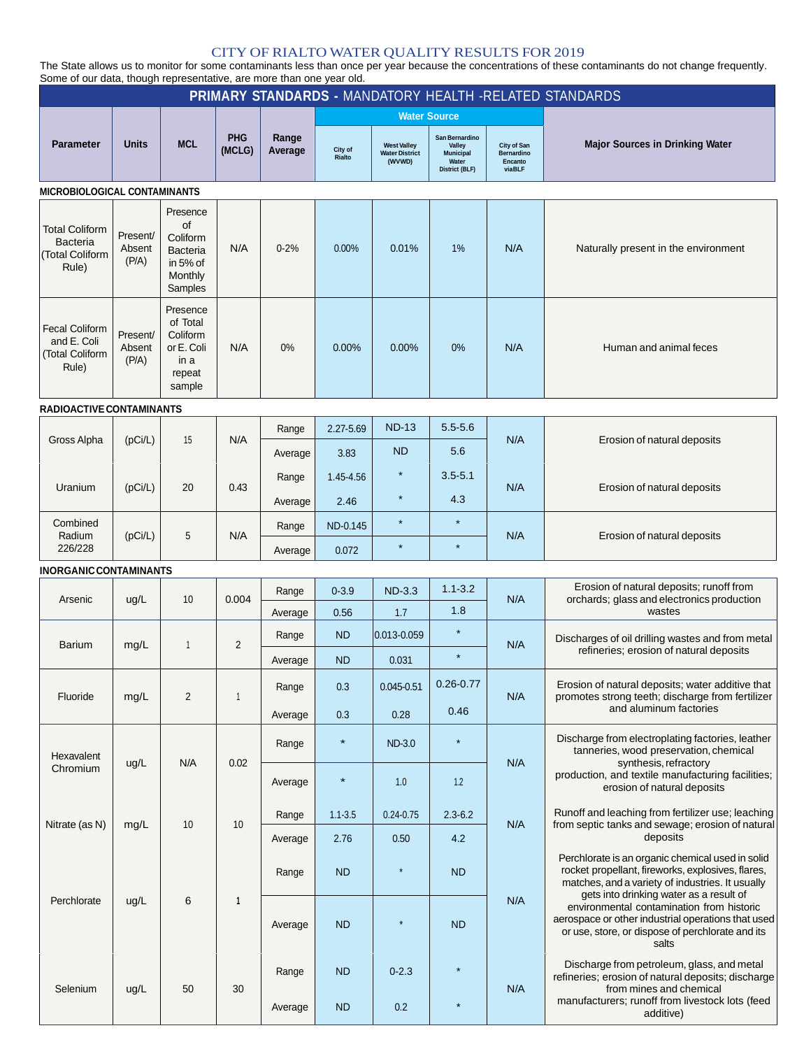### CITY OF RIALTO WATER QUALITY RESULTS FOR 2019

The State allows us to monitor for some contaminants less than once per year because the concentrations of these contaminants do not change frequently. Some of our data, though representative, are more than one year old.

| <b>PRIMARY STANDARDS - MANDATORY HEALTH -RELATED STANDARDS</b>   |                             |                                                                                 |                      |                  |                     |                                                       |                                                                         |                                                |                                                                                                                                                           |     |                                                                                                                                                                                                         |  |  |
|------------------------------------------------------------------|-----------------------------|---------------------------------------------------------------------------------|----------------------|------------------|---------------------|-------------------------------------------------------|-------------------------------------------------------------------------|------------------------------------------------|-----------------------------------------------------------------------------------------------------------------------------------------------------------|-----|---------------------------------------------------------------------------------------------------------------------------------------------------------------------------------------------------------|--|--|
|                                                                  |                             |                                                                                 |                      |                  |                     | <b>Water Source</b>                                   |                                                                         |                                                |                                                                                                                                                           |     |                                                                                                                                                                                                         |  |  |
| <b>Parameter</b>                                                 | Units                       | <b>MCL</b>                                                                      | <b>PHG</b><br>(MCLG) | Range<br>Average | City of<br>Rialto   | <b>West Valley</b><br><b>Water District</b><br>(WVWD) | San Bernardino<br>Valley<br><b>Municipal</b><br>Water<br>District (BLF) | City of San<br>Bernardino<br>Encanto<br>viaBLF | <b>Major Sources in Drinking Water</b>                                                                                                                    |     |                                                                                                                                                                                                         |  |  |
| <b>MICROBIOLOGICAL CONTAMINANTS</b>                              |                             |                                                                                 |                      |                  |                     |                                                       |                                                                         |                                                |                                                                                                                                                           |     |                                                                                                                                                                                                         |  |  |
| <b>Total Coliform</b><br>Bacteria<br>(Total Coliform<br>Rule)    | Present/<br>Absent<br>(P/A) | Presence<br><b>of</b><br>Coliform<br>Bacteria<br>in 5% of<br>Monthly<br>Samples | N/A                  | $0 - 2%$         | $0.00\%$            | 0.01%                                                 | 1%                                                                      | N/A                                            | Naturally present in the environment                                                                                                                      |     |                                                                                                                                                                                                         |  |  |
| <b>Fecal Coliform</b><br>and E. Coli<br>(Total Coliform<br>Rule) | Present/<br>Absent<br>(P/A) | Presence<br>of Total<br>Coliform<br>or E. Coli<br>in a<br>repeat<br>sample      | N/A                  | 0%               | 0.00%               | 0.00%                                                 | 0%                                                                      | N/A                                            | Human and animal feces                                                                                                                                    |     |                                                                                                                                                                                                         |  |  |
| RADIOACTIVE CONTAMINANTS                                         |                             |                                                                                 |                      |                  |                     |                                                       |                                                                         |                                                |                                                                                                                                                           |     |                                                                                                                                                                                                         |  |  |
| Gross Alpha                                                      | (pCi/L)                     | 15                                                                              | N/A                  | Range<br>Average | 2.27-5.69<br>3.83   | <b>ND-13</b><br><b>ND</b>                             | $5.5 - 5.6$<br>5.6                                                      | N/A                                            | Erosion of natural deposits                                                                                                                               |     |                                                                                                                                                                                                         |  |  |
| Uranium                                                          | (pCi/L)                     | 20                                                                              | 0.43                 | Range<br>Average | 1.45-4.56<br>2.46   | $\star$                                               | $3.5 - 5.1$<br>4.3                                                      | N/A                                            | Erosion of natural deposits                                                                                                                               |     |                                                                                                                                                                                                         |  |  |
| Combined<br>Radium<br>226/228                                    | (pCi/L)                     | 5                                                                               | N/A                  | Range<br>Average | ND-0.145<br>0.072   | $\star$                                               | $\star$                                                                 | N/A                                            | Erosion of natural deposits                                                                                                                               |     |                                                                                                                                                                                                         |  |  |
| <b>INORGANIC CONTAMINANTS</b>                                    |                             |                                                                                 |                      |                  |                     |                                                       |                                                                         |                                                |                                                                                                                                                           |     |                                                                                                                                                                                                         |  |  |
| Arsenic                                                          | ug/L                        | 10                                                                              | 0.004                | Range            | $0 - 3.9$<br>0.56   | <b>ND-3.3</b><br>1.7                                  | $1.1 - 3.2$<br>1.8                                                      | N/A                                            | Erosion of natural deposits; runoff from<br>orchards; glass and electronics production<br>wastes                                                          |     |                                                                                                                                                                                                         |  |  |
| <b>Barium</b>                                                    | mg/L                        | 1                                                                               | $\overline{2}$       | Average<br>Range | <b>ND</b>           | 0.013-0.059                                           | $\star$                                                                 | N/A                                            | Discharges of oil drilling wastes and from metal<br>refineries; erosion of natural deposits                                                               |     |                                                                                                                                                                                                         |  |  |
|                                                                  |                             |                                                                                 |                      | Average          | <b>ND</b>           | 0.031                                                 | $\star$                                                                 |                                                |                                                                                                                                                           |     |                                                                                                                                                                                                         |  |  |
| Fluoride                                                         | mg/L                        | $\overline{2}$                                                                  | 1                    | Range            | 0.3                 | $0.045 - 0.51$                                        | $0.26 - 0.77$<br>0.46                                                   | N/A                                            | Erosion of natural deposits; water additive that<br>promotes strong teeth; discharge from fertilizer<br>and aluminum factories                            |     |                                                                                                                                                                                                         |  |  |
|                                                                  |                             |                                                                                 |                      | Average          | 0.3                 | 0.28                                                  |                                                                         |                                                |                                                                                                                                                           |     |                                                                                                                                                                                                         |  |  |
| Hexavalent<br>Chromium                                           | ug/L                        | N/A                                                                             | 0.02                 | Range            | $\star$             | <b>ND-3.0</b>                                         | $\star$                                                                 | N/A                                            | Discharge from electroplating factories, leather<br>tanneries, wood preservation, chemical<br>synthesis, refractory                                       |     |                                                                                                                                                                                                         |  |  |
|                                                                  |                             |                                                                                 |                      | Average          |                     | 1.0                                                   | 1.2                                                                     |                                                | production, and textile manufacturing facilities;<br>erosion of natural deposits                                                                          |     |                                                                                                                                                                                                         |  |  |
| Nitrate (as N)                                                   | mg/L                        | 10                                                                              | 10                   | Range<br>Average | $1.1 - 3.5$<br>2.76 | $0.24 - 0.75$<br>0.50                                 | $2.3 - 6.2$<br>4.2                                                      | N/A                                            | Runoff and leaching from fertilizer use; leaching<br>from septic tanks and sewage; erosion of natural<br>deposits                                         |     |                                                                                                                                                                                                         |  |  |
|                                                                  |                             |                                                                                 |                      | Range            | <b>ND</b>           |                                                       | <b>ND</b>                                                               |                                                | Perchlorate is an organic chemical used in solid<br>rocket propellant, fireworks, explosives, flares,<br>matches, and a variety of industries. It usually |     |                                                                                                                                                                                                         |  |  |
| Perchlorate                                                      | ug/L                        | 6                                                                               |                      |                  | $\mathbf{1}$        | Average                                               | <b>ND</b>                                                               |                                                | <b>ND</b>                                                                                                                                                 | N/A | gets into drinking water as a result of<br>environmental contamination from historic<br>aerospace or other industrial operations that used<br>or use, store, or dispose of perchlorate and its<br>salts |  |  |
| Selenium                                                         | ug/L                        | 50                                                                              | 30                   | Range            | <b>ND</b>           | $0 - 2.3$                                             |                                                                         | N/A                                            | Discharge from petroleum, glass, and metal<br>refineries; erosion of natural deposits; discharge<br>from mines and chemical                               |     |                                                                                                                                                                                                         |  |  |
|                                                                  |                             |                                                                                 |                      | Average          | <b>ND</b>           | 0.2                                                   | $\star$                                                                 |                                                | manufacturers; runoff from livestock lots (feed<br>additive)                                                                                              |     |                                                                                                                                                                                                         |  |  |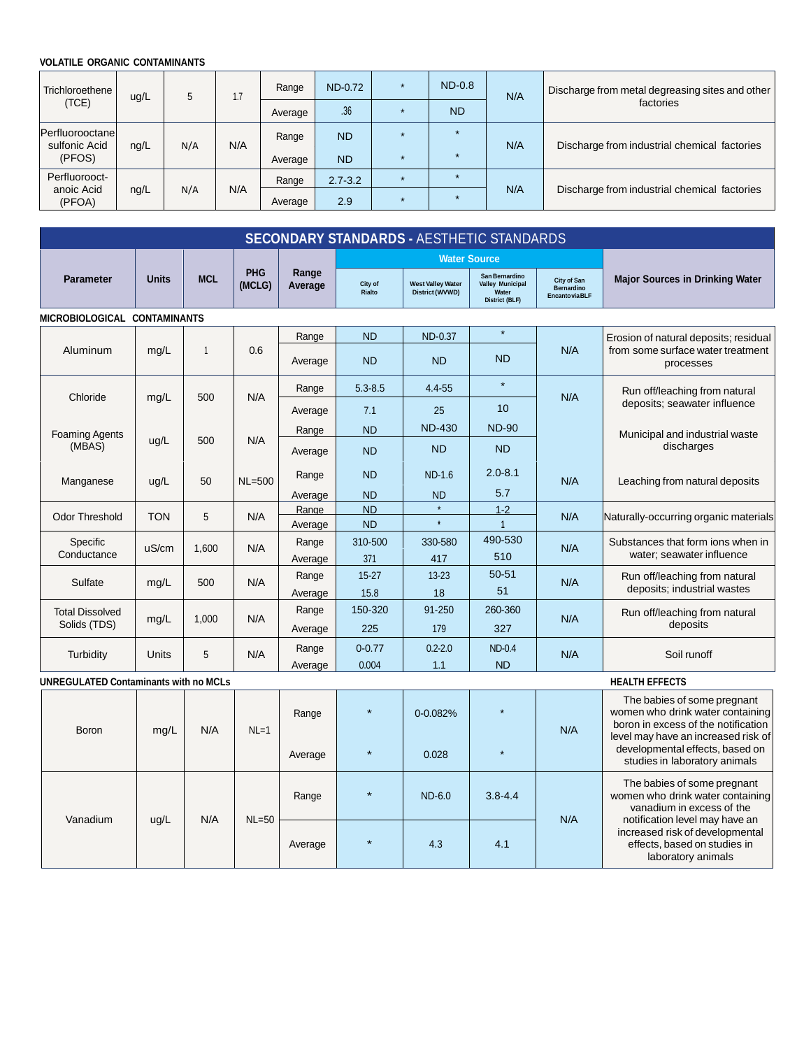#### **VOLATILE ORGANIC CONTAMINANTS**

| <b>Trichloroethene</b><br>(TCE)             | ug/L | 5   | 1.7 | Range<br>Average | <b>ND-0.72</b><br>.36  | $ND-0.8$<br><b>ND</b> | N/A | Discharge from metal degreasing sites and other<br>factories |
|---------------------------------------------|------|-----|-----|------------------|------------------------|-----------------------|-----|--------------------------------------------------------------|
| Perfluorooctanel<br>sulfonic Acid<br>(PFOS) | nq/L | N/A | N/A | Range<br>Average | <b>ND</b><br><b>ND</b> | $\star$               | N/A | Discharge from industrial chemical factories                 |
| Perfluorooct-<br>anoic Acid<br>(PFOA)       | ng/L | N/A | N/A | Range<br>Average | $2.7 - 3.2$<br>2.9     |                       | N/A | Discharge from industrial chemical factories                 |

| <b>SECONDARY STANDARDS - AESTHETIC STANDARDS</b> |              |            |                      |                  |                        |                                             |                                                                             |                                                     |                                                                                                                                                                                  |                                                                                                                                                                 |                                                                                       |
|--------------------------------------------------|--------------|------------|----------------------|------------------|------------------------|---------------------------------------------|-----------------------------------------------------------------------------|-----------------------------------------------------|----------------------------------------------------------------------------------------------------------------------------------------------------------------------------------|-----------------------------------------------------------------------------------------------------------------------------------------------------------------|---------------------------------------------------------------------------------------|
|                                                  |              |            |                      |                  |                        | <b>Water Source</b>                         |                                                                             |                                                     |                                                                                                                                                                                  |                                                                                                                                                                 |                                                                                       |
| <b>Parameter</b>                                 | <b>Units</b> | <b>MCL</b> | <b>PHG</b><br>(MCLG) | Range<br>Average | City of<br>Rialto      | <b>West Valley Water</b><br>District (WVWD) | San Bernardino<br><b>Valley Municipal</b><br>Water<br><b>District (BLF)</b> | City of San<br><b>Bernardino</b><br>Encanto via BLF | <b>Major Sources in Drinking Water</b>                                                                                                                                           |                                                                                                                                                                 |                                                                                       |
| MICROBIOLOGICAL CONTAMINANTS                     |              |            |                      |                  |                        |                                             |                                                                             |                                                     |                                                                                                                                                                                  |                                                                                                                                                                 |                                                                                       |
| Aluminum                                         | mg/L         | 1          | 0.6                  | Range<br>Average | <b>ND</b><br><b>ND</b> | ND-0.37<br><b>ND</b>                        | $\star$<br><b>ND</b>                                                        | N/A                                                 | Erosion of natural deposits; residual<br>from some surface water treatment<br>processes                                                                                          |                                                                                                                                                                 |                                                                                       |
| Chloride                                         | mg/L         | 500        | N/A                  | Range<br>Average | $5.3 - 8.5$<br>7.1     | $4.4 - 55$<br>25                            | $\star$<br>10                                                               | N/A                                                 | Run off/leaching from natural<br>deposits; seawater influence                                                                                                                    |                                                                                                                                                                 |                                                                                       |
| <b>Foaming Agents</b><br>(MBAS)                  | ug/L         | 500        | N/A                  | Range<br>Average | <b>ND</b><br><b>ND</b> | <b>ND-430</b><br><b>ND</b>                  | <b>ND-90</b><br><b>ND</b>                                                   |                                                     | Municipal and industrial waste<br>discharges                                                                                                                                     |                                                                                                                                                                 |                                                                                       |
| Manganese                                        | ug/L         | 50         | $NL = 500$           | Range<br>Average | <b>ND</b><br><b>ND</b> | <b>ND-1.6</b><br><b>ND</b>                  | $2.0 - 8.1$<br>5.7                                                          | N/A                                                 | Leaching from natural deposits                                                                                                                                                   |                                                                                                                                                                 |                                                                                       |
| <b>Odor Threshold</b>                            | <b>TON</b>   | 5          | N/A                  | Range<br>Average | <b>ND</b><br><b>ND</b> | ż                                           | $1 - 2$<br>$\overline{1}$                                                   | N/A                                                 | Naturally-occurring organic materials                                                                                                                                            |                                                                                                                                                                 |                                                                                       |
| Specific<br>Conductance                          | uS/cm        | 1.600      | N/A                  | Range<br>Average | 310-500<br>371         | 330-580<br>417                              | 490-530<br>510                                                              | N/A                                                 | Substances that form ions when in<br>water; seawater influence                                                                                                                   |                                                                                                                                                                 |                                                                                       |
| Sulfate                                          | mg/L         | 500        | N/A                  | Range<br>Average | $15 - 27$<br>15.8      | $13 - 23$<br>18                             | $50 - 51$<br>51                                                             | N/A                                                 | Run off/leaching from natural<br>deposits; industrial wastes                                                                                                                     |                                                                                                                                                                 |                                                                                       |
| <b>Total Dissolved</b><br>Solids (TDS)           | mg/L         | 1,000      | N/A                  | Range<br>Average | 150-320<br>225         | 91-250<br>179                               | 260-360<br>327                                                              | N/A                                                 | Run off/leaching from natural<br>deposits                                                                                                                                        |                                                                                                                                                                 |                                                                                       |
| Turbidity                                        | Units        | 5          | N/A                  | Range<br>Average | $0 - 0.77$<br>0.004    | $0.2 - 2.0$<br>1.1                          | <b>ND-0.4</b><br><b>ND</b>                                                  | N/A                                                 | Soil runoff                                                                                                                                                                      |                                                                                                                                                                 |                                                                                       |
| <b>UNREGULATED Contaminants with no MCLs</b>     |              |            |                      |                  |                        |                                             |                                                                             |                                                     | <b>HEALTH EFFECTS</b>                                                                                                                                                            |                                                                                                                                                                 |                                                                                       |
| <b>Boron</b>                                     | mg/L         | N/A        | $NL=1$               | Range<br>Average |                        | $0 - 0.082%$<br>0.028                       |                                                                             | N/A                                                 | The babies of some pregnant<br>women who drink water containing<br>boron in excess of the notification<br>level may have an increased risk of<br>developmental effects, based on |                                                                                                                                                                 |                                                                                       |
| Vanadium                                         | ug/L         |            | N/A                  | $NL=50$          | Range                  |                                             | ND-6.0                                                                      | $3.8 - 4.4$                                         | N/A                                                                                                                                                                              | studies in laboratory animals<br>The babies of some pregnant<br>women who drink water containing<br>vanadium in excess of the<br>notification level may have an |                                                                                       |
|                                                  |              |            |                      |                  |                        | Average                                     |                                                                             | 4.3                                                 | 4.1                                                                                                                                                                              |                                                                                                                                                                 | increased risk of developmental<br>effects, based on studies in<br>laboratory animals |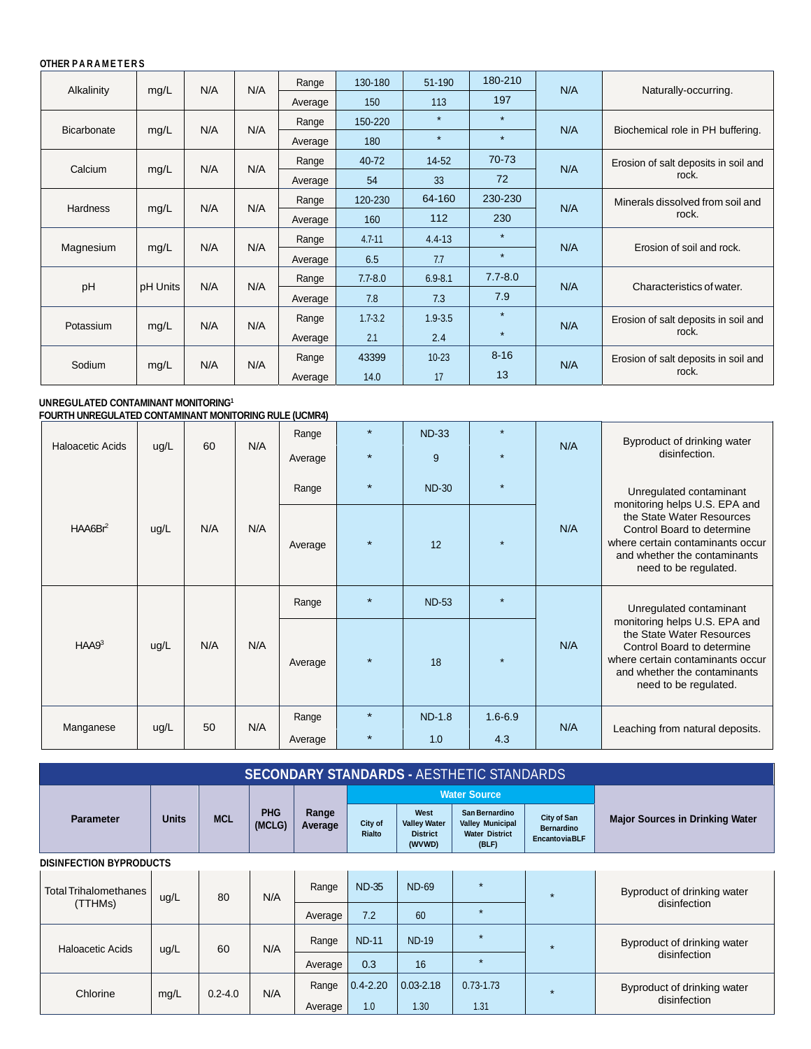#### **OTHER P A R A M E T E R S**

| Alkalinity      | mg/L     | N/A | N/A | Range   | 130-180     | 51-190      | 180-210     | N/A | Naturally-occurring.                 |
|-----------------|----------|-----|-----|---------|-------------|-------------|-------------|-----|--------------------------------------|
|                 |          |     |     | Average | 150         | 113         | 197         |     |                                      |
|                 |          |     |     | Range   | 150-220     | $\star$     | $\star$     |     |                                      |
| Bicarbonate     | mg/L     | N/A | N/A | Average | 180         | $\star$     | $\star$     | N/A | Biochemical role in PH buffering.    |
|                 |          |     |     | Range   | 40-72       | $14-52$     | 70-73       |     | Erosion of salt deposits in soil and |
| Calcium         | mg/L     | N/A | N/A | Average | 54          | 33          | 72          | N/A | rock.                                |
|                 |          |     | N/A | Range   | 120-230     | 64-160      | 230-230     |     | Minerals dissolved from soil and     |
| <b>Hardness</b> | mg/L     | N/A |     |         | Average     | 160         | 112         | 230 | N/A                                  |
|                 |          |     | N/A | Range   | $4.7 - 11$  | $4.4 - 13$  | $\star$     |     |                                      |
| Magnesium       | mg/L     | N/A |     | Average | 6.5         | 7.7         | $\star$     | N/A | Erosion of soil and rock.            |
|                 |          |     |     | Range   | $7.7 - 8.0$ | $6.9 - 8.1$ | $7.7 - 8.0$ |     |                                      |
| pH              | pH Units | N/A | N/A | Average | 7.8         | 7.3         | 7.9         | N/A | Characteristics of water.            |
|                 |          |     | N/A | Range   | $1.7 - 3.2$ | $1.9 - 3.5$ | $\star$     |     | Erosion of salt deposits in soil and |
| Potassium       | mg/L     | N/A |     | Average | 2.1         | 2.4         | $\star$     | N/A | rock.                                |
|                 |          |     |     | Range   | 43399       | $10 - 23$   | $8 - 16$    | N/A | Erosion of salt deposits in soil and |
| Sodium          | mg/L     | N/A | N/A | Average | 14.0        | 17          | 13          |     | rock.                                |

#### **UNREGULATED CONTAMINANT MONITORING1 FOURTH UNREGULATED CONTAMINANT MONITORING RULE (UCMR4)**

|                             |      |     |         | Range   |         | <b>ND-33</b>  |             |                                                                                                                                                                                       | Byproduct of drinking water                                                                                                                                                                                      |
|-----------------------------|------|-----|---------|---------|---------|---------------|-------------|---------------------------------------------------------------------------------------------------------------------------------------------------------------------------------------|------------------------------------------------------------------------------------------------------------------------------------------------------------------------------------------------------------------|
| <b>Haloacetic Acids</b>     | ug/L | 60  | N/A     | Average | $\star$ | 9             | ÷           | N/A                                                                                                                                                                                   | disinfection.                                                                                                                                                                                                    |
|                             |      |     |         | Range   | $\star$ | <b>ND-30</b>  | $\star$     |                                                                                                                                                                                       | Unregulated contaminant                                                                                                                                                                                          |
| HAABBr <sup>2</sup><br>ug/L | N/A  | N/A | Average | $\star$ | 12      | ÷             | N/A         | monitoring helps U.S. EPA and<br>the State Water Resources<br>Control Board to determine<br>where certain contaminants occur<br>and whether the contaminants<br>need to be regulated. |                                                                                                                                                                                                                  |
| HAA9 <sup>3</sup>           | ug/L | N/A |         | Range   |         | <b>ND-53</b>  | $\star$     |                                                                                                                                                                                       | Unregulated contaminant<br>monitoring helps U.S. EPA and<br>the State Water Resources<br>Control Board to determine<br>where certain contaminants occur<br>and whether the contaminants<br>need to be regulated. |
|                             |      |     | N/A     | Average | $\star$ | 18            | ÷           | N/A                                                                                                                                                                                   |                                                                                                                                                                                                                  |
| Manganese                   | ug/L | 50  | N/A     | Range   | $\star$ | <b>ND-1.8</b> | $1.6 - 6.9$ | N/A                                                                                                                                                                                   |                                                                                                                                                                                                                  |
|                             |      |     |         | Average |         | 1.0           | 4.3         |                                                                                                                                                                                       | Leaching from natural deposits.                                                                                                                                                                                  |

| <b>SECONDARY STANDARDS - AESTHETIC STANDARDS</b> |              |             |                      |                  |                   |                                                          |                                                                             |                                                                 |                                             |                             |  |  |
|--------------------------------------------------|--------------|-------------|----------------------|------------------|-------------------|----------------------------------------------------------|-----------------------------------------------------------------------------|-----------------------------------------------------------------|---------------------------------------------|-----------------------------|--|--|
|                                                  |              |             |                      |                  |                   |                                                          | <b>Water Source</b>                                                         |                                                                 |                                             |                             |  |  |
| <b>Parameter</b>                                 | <b>Units</b> | <b>MCL</b>  | <b>PHG</b><br>(MCLG) | Range<br>Average | City of<br>Rialto | West<br><b>Valley Water</b><br><b>District</b><br>(WVWD) | San Bernardino<br><b>Valley Municipal</b><br><b>Water District</b><br>(BLF) | <b>City of San</b><br><b>Bernardino</b><br><b>EncantoviaBLF</b> | <b>Major Sources in Drinking Water</b>      |                             |  |  |
| <b>DISINFECTION BYPRODUCTS</b>                   |              |             |                      |                  |                   |                                                          |                                                                             |                                                                 |                                             |                             |  |  |
| <b>Total Trihalomethanes</b>                     | ug/L         | 80          | N/A                  | Range            | <b>ND-35</b>      | <b>ND-69</b>                                             | $\star$                                                                     | $\star$                                                         | Byproduct of drinking water<br>disinfection |                             |  |  |
| (TTHMs)                                          |              |             |                      | Average          | 7.2               | 60                                                       | $\star$                                                                     |                                                                 |                                             |                             |  |  |
| Haloacetic Acids                                 | ug/L         | 60          |                      | N/A              | Range             | <b>ND-11</b>                                             | <b>ND-19</b>                                                                | $\star$                                                         | $\star$                                     | Byproduct of drinking water |  |  |
|                                                  |              |             |                      | 0.3<br>Average   |                   | 16                                                       | $\star$                                                                     |                                                                 | disinfection                                |                             |  |  |
| Chlorine                                         | mg/L         | $0.2 - 4.0$ | N/A                  | Range            | $0.4 - 2.20$      | $0.03 - 2.18$                                            | $0.73 - 1.73$                                                               | $\star$                                                         | Byproduct of drinking water                 |                             |  |  |
|                                                  |              |             |                      | Average          | 1.0               | 1.30                                                     | 1.31                                                                        |                                                                 | disinfection                                |                             |  |  |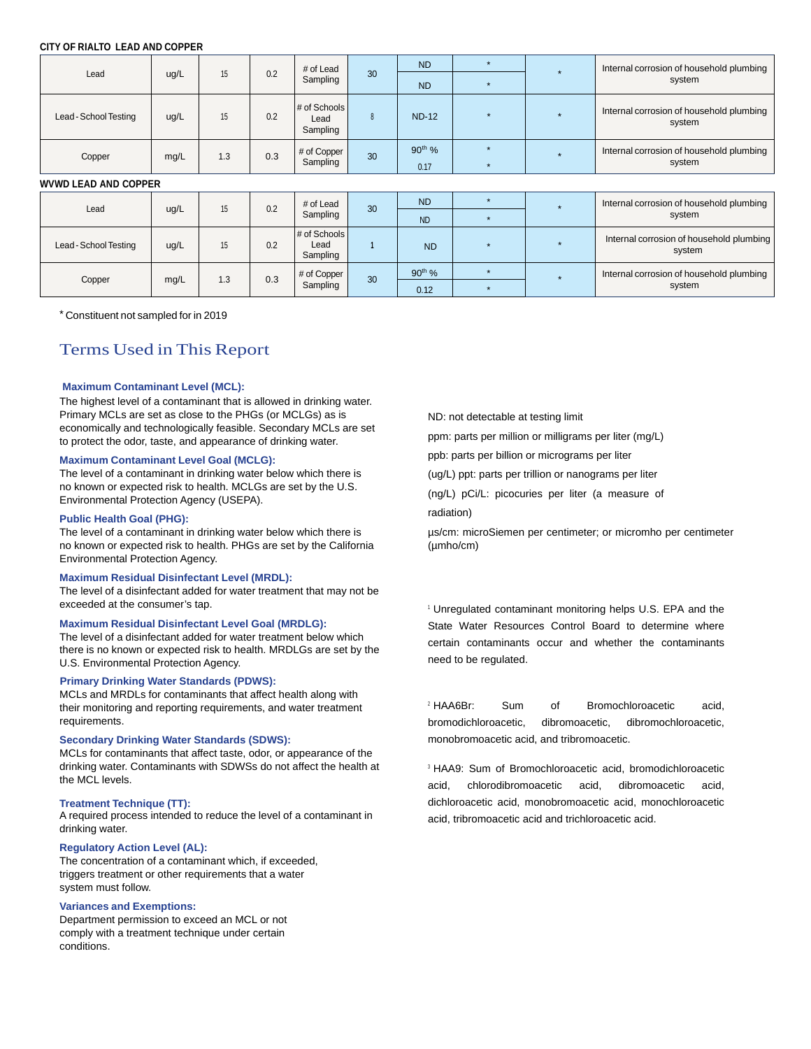#### **CITY OF RIALTO LEAD AND COPPER**

| Lead                        | ug/L | 15         | 0.2         | # of Lead<br>Sampling            | 30                 | <b>ND</b>    |           |                                          | Internal corrosion of household plumbing           |
|-----------------------------|------|------------|-------------|----------------------------------|--------------------|--------------|-----------|------------------------------------------|----------------------------------------------------|
|                             |      |            |             |                                  |                    | <b>ND</b>    | $\bullet$ |                                          | system                                             |
| Lead - School Testing       | ug/L | 15         | 0.2         | # of Schools<br>Lead<br>Sampling | 8                  | <b>ND-12</b> | $\star$   |                                          | Internal corrosion of household plumbing<br>system |
| Copper                      | mg/L | 0.3<br>1.3 | # of Copper | 30                               | 90 <sup>th</sup> % |              | <b>A</b>  | Internal corrosion of household plumbing |                                                    |
|                             |      |            |             | Sampling                         |                    | 0.17         | $\star$   |                                          | system                                             |
| <b>WVWD LEAD AND COPPER</b> |      |            |             |                                  |                    |              |           |                                          |                                                    |
| Lead                        | ug/L | 15         | 0.2         | # of Lead                        | 30                 | <b>ND</b>    |           |                                          | Internal corrosion of household plumbing           |
|                             |      |            |             | Sampling                         |                    | <b>ND</b>    | $\star$   |                                          | system                                             |
| Lead - School Testing       | ug/L | 15         | 0.2         | # of Schools<br>Lead<br>Sampling |                    | <b>ND</b>    |           |                                          | Internal corrosion of household plumbing<br>system |
|                             | mg/L | 1.3        | 0.3         | # of Copper                      | 30                 | $90th$ %     | $\star$   |                                          | Internal corrosion of household plumbing           |
| Copper                      |      |            |             | Sampling                         |                    | 0.12         |           |                                          | system                                             |

\* Constituent not sampled for in 2019

## Terms Used in This Report

#### **Maximum Contaminant Level (MCL):**

The highest level of a contaminant that is allowed in drinking water. Primary MCLs are set as close to the PHGs (or MCLGs) as is economically and technologically feasible. Secondary MCLs are set to protect the odor, taste, and appearance of drinking water.

#### **Maximum Contaminant Level Goal (MCLG):**

The level of a contaminant in drinking water below which there is no known or expected risk to health. MCLGs are set by the U.S. Environmental Protection Agency (USEPA).

#### **Public Health Goal (PHG):**

The level of a contaminant in drinking water below which there is no known or expected risk to health. PHGs are set by the California Environmental Protection Agency.

#### **Maximum Residual Disinfectant Level (MRDL):**

The level of a disinfectant added for water treatment that may not be exceeded at the consumer's tap.

#### **Maximum Residual Disinfectant Level Goal (MRDLG):**

The level of a disinfectant added for water treatment below which there is no known or expected risk to health. MRDLGs are set by the U.S. Environmental Protection Agency.

#### **Primary Drinking Water Standards (PDWS):**

MCLs and MRDLs for contaminants that affect health along with their monitoring and reporting requirements, and water treatment requirements.

#### **Secondary Drinking Water Standards (SDWS):**

MCLs for contaminants that affect taste, odor, or appearance of the drinking water. Contaminants with SDWSs do not affect the health at the MCL levels.

#### **Treatment Technique (TT):**

A required process intended to reduce the level of a contaminant in drinking water.

#### **Regulatory Action Level (AL):**

The concentration of a contaminant which, if exceeded, triggers treatment or other requirements that a water system must follow.

#### **Variances and Exemptions:**

Department permission to exceed an MCL or not comply with a treatment technique under certain conditions.

ND: not detectable at testing limit

ppm: parts per million or milligrams per liter (mg/L)

ppb: parts per billion or micrograms per liter

(ug/L) ppt: parts per trillion or nanograms per liter

(ng/L) pCi/L: picocuries per liter (a measure of radiation)

µs/cm: microSiemen per centimeter; or micromho per centimeter (µmho/cm)

1 Unregulated contaminant monitoring helps U.S. EPA and the State Water Resources Control Board to determine where certain contaminants occur and whether the contaminants need to be regulated.

2 HAA6Br: Sum of Bromochloroacetic acid, bromodichloroacetic, dibromoacetic, dibromochloroacetic, monobromoacetic acid, and tribromoacetic.

3 HAA9: Sum of Bromochloroacetic acid, bromodichloroacetic acid, chlorodibromoacetic acid, dibromoacetic acid, dichloroacetic acid, monobromoacetic acid, monochloroacetic acid, tribromoacetic acid and trichloroacetic acid.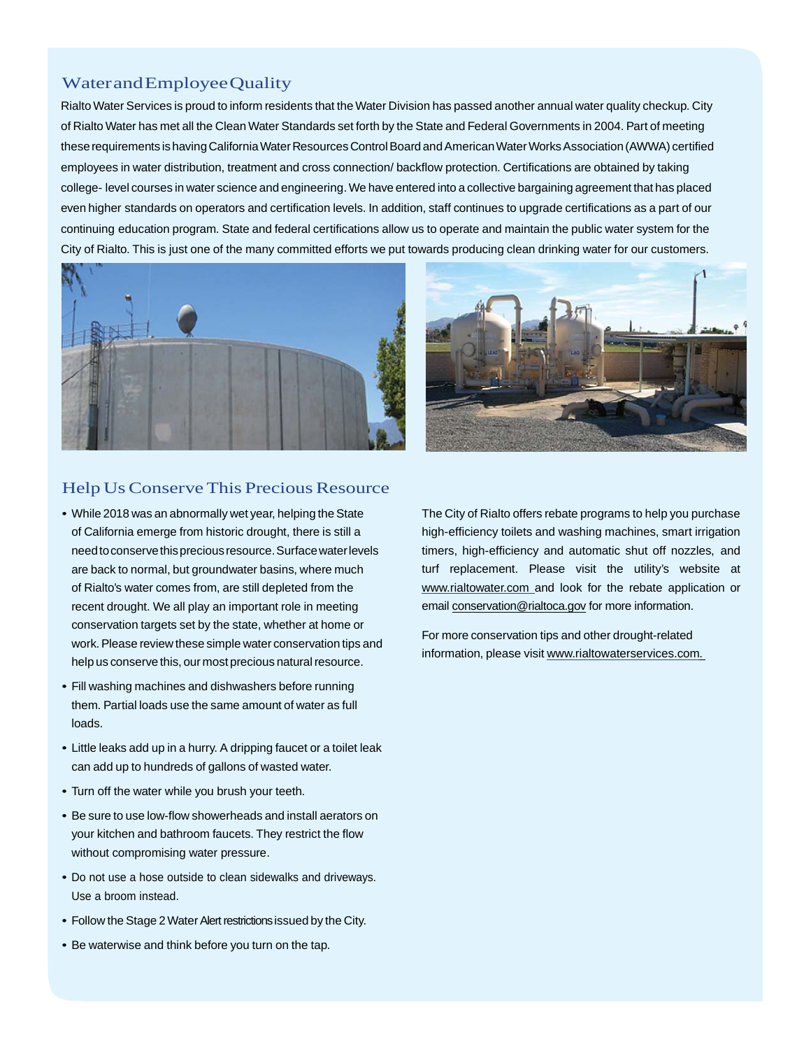## Water and Employee Quality

Rialto Water Services is proud to inform residents that the Water Division has passed another annual water quality checkup. City of Rialto Water has met all the Clean Water Standards set forth by the State and Federal Governments in 2004. Part of meeting these requirements is having California Water Resources Control Board and American Water Works Association (AWWA) certified employees in water distribution, treatment and cross connection/ backflow protection. Certifications are obtained by taking college- level courses in water science and engineering. We have entered into a collective bargaining agreement that has placed even higher standards on operators and certification levels. In addition, staff continues to upgrade certifications as a part of our continuing education program. State and federal certifications allow us to operate and maintain the public water system for the City of Rialto. This is just one of the many committed efforts we put towards producing clean drinking water for our customers.





## Help Us Conserve This Precious Resource

- While 2018 was an abnormally wet year, helping the State of California emerge from historic drought, there is still a need to conserve this precious resource. Surface water levels are back to normal, but groundwater basins, where much of Rialto's water comes from, are still depleted from the recent drought. We all play an important role in meeting conservation targets set by the state, whether at home or work. Please review these simple water conservation tips and help us conserve this, our most precious natural resource.
- Fill washing machines and dishwashers before running them. Partial loads use the same amount of water as full loads.
- Little leaks add up in a hurry. A dripping faucet or a toilet leak can add up to hundreds of gallons of wasted water.
- Turn off the water while you brush your teeth.
- Be sure to use low-flow showerheads and install aerators on your kitchen and bathroom faucets. They restrict the flow without compromising water pressure.
- Do not use a hose outside to clean sidewalks and driveways. Use a broom instead.
- Follow the Stage 2 Water Alert restrictions issued by the City.
- Be waterwise and think before you turn on the tap.

The City of Rialto offers rebate programs to help you purchase high-efficiency toilets and washing machines, smart irrigation timers, high-efficiency and automatic shut off nozzles, and turf replacement. Please visit the utility's website at www.rialtowater.com and look for the rebate application or email conservation@rialtoca.gov for more information.

For more conservation tips and other drought-related information, please visit www.rialtowaterservices.com.